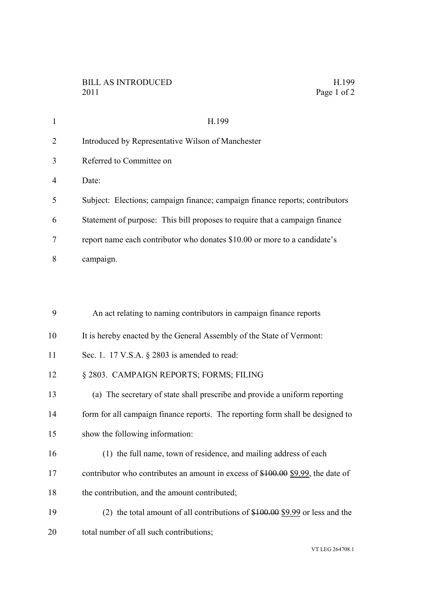| $\mathbf{1}$   | H.199                                                                              |
|----------------|------------------------------------------------------------------------------------|
| $\overline{2}$ | Introduced by Representative Wilson of Manchester                                  |
| 3              | Referred to Committee on                                                           |
| 4              | Date:                                                                              |
| 5              | Subject: Elections; campaign finance; campaign finance reports; contributors       |
| 6              | Statement of purpose: This bill proposes to require that a campaign finance        |
| 7              | report name each contributor who donates \$10.00 or more to a candidate's          |
| 8              | campaign.                                                                          |
|                |                                                                                    |
|                |                                                                                    |
| 9              | An act relating to naming contributors in campaign finance reports                 |
| 10             | It is hereby enacted by the General Assembly of the State of Vermont:              |
| 11             | Sec. 1. 17 V.S.A. § 2803 is amended to read:                                       |
| 12             | § 2803. CAMPAIGN REPORTS; FORMS; FILING                                            |
| 13             | (a) The secretary of state shall prescribe and provide a uniform reporting         |
| 14             | form for all campaign finance reports. The reporting form shall be designed to     |
| 15             | show the following information:                                                    |
| 16             | (1) the full name, town of residence, and mailing address of each                  |
| 17             | contributor who contributes an amount in excess of $$100.00$ $$9.99$ , the date of |
| 18             | the contribution, and the amount contributed;                                      |
| 19             | (2) the total amount of all contributions of $$100.00$ \$9.99 or less and the      |
| 20             | total number of all such contributions;                                            |